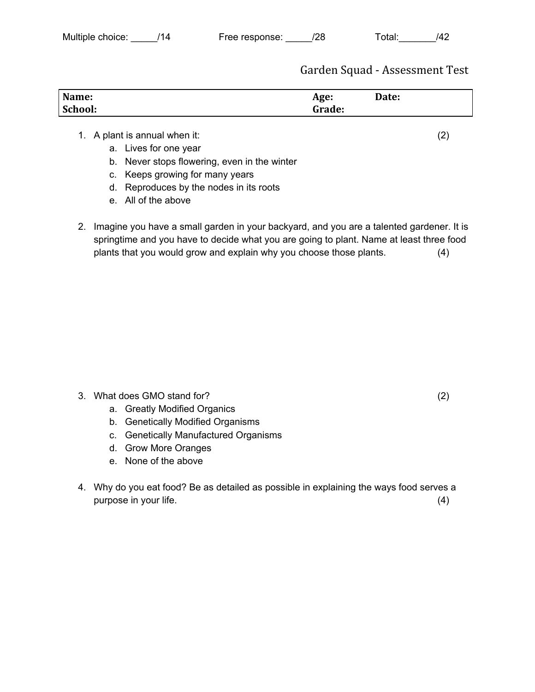Garden Squad - Assessment Test

| Name:   | Age:   | Date: |
|---------|--------|-------|
| School: | Grade: |       |

## 1. A plant is annual when it: (2)

- a. Lives for one year
- b. Never stops flowering, even in the winter
- c. Keeps growing for many years
- d. Reproduces by the nodes in its roots
- e. All of the above
- 2. Imagine you have a small garden in your backyard, and you are a talented gardener. It is springtime and you have to decide what you are going to plant. Name at least three food plants that you would grow and explain why you choose those plants. (4)

- 3. What does GMO stand for? (2)
	- a. Greatly Modified Organics
	- b. Genetically Modified Organisms
	- c. Genetically Manufactured Organisms
	- d. Grow More Oranges
	- e. None of the above
- 4. Why do you eat food? Be as detailed as possible in explaining the ways food serves a purpose in your life. (4)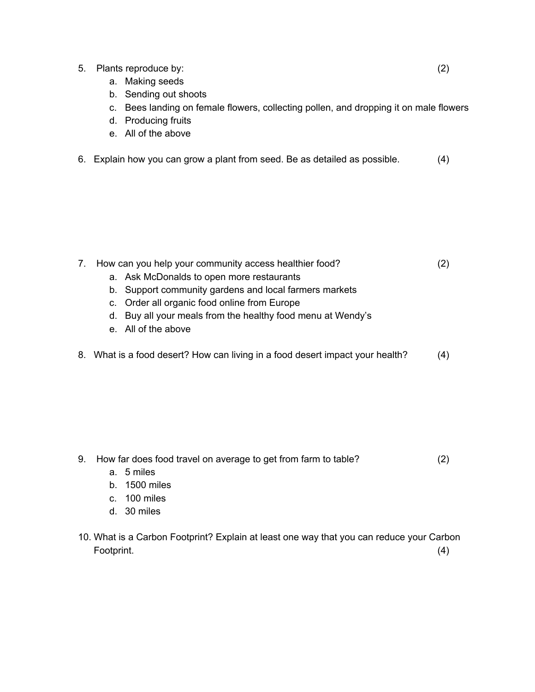- 5. Plants reproduce by: (2)
	- a. Making seeds
	- b. Sending out shoots
	- c. Bees landing on female flowers, collecting pollen, and dropping it on male flowers
	- d. Producing fruits
	- e. All of the above
- 6. Explain how you can grow a plant from seed. Be as detailed as possible. (4)

- 7. How can you help your community access healthier food? (2)
	- a. Ask McDonalds to open more restaurants
	- b. Support community gardens and local farmers markets
	- c. Order all organic food online from Europe
	- d. Buy all your meals from the healthy food menu at Wendy's
	- e. All of the above
- 8. What is a food desert? How can living in a food desert impact your health? (4)

- 9. How far does food travel on average to get from farm to table? (2)
	- a. 5 miles
	- b. 1500 miles
	- c. 100 miles
	- d. 30 miles
- 10. What is a Carbon Footprint? Explain at least one way that you can reduce your Carbon Footprint. (4)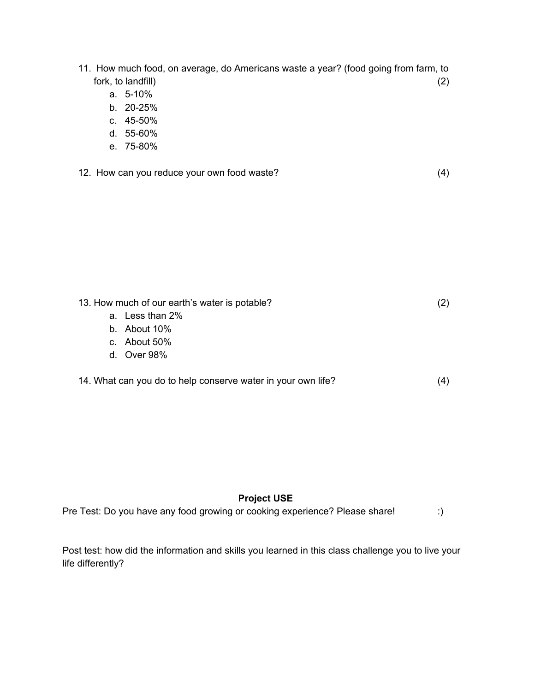- 11. How much food, on average, do Americans waste a year? (food going from farm, to fork, to landfill) (2)
	- a. 5-10%
	- b. 20-25%
	- c. 45-50%
	- d. 55-60%
	- e. 75-80%
- 12. How can you reduce your own food waste? (4)

13. How much of our earth's water is potable? (2) a. Less than 2% b. About 10% c. About 50% d. Over 98%

14. What can you do to help conserve water in your own life? (4)

## **Project USE**

Pre Test: Do you have any food growing or cooking experience? Please share! :)

Post test: how did the information and skills you learned in this class challenge you to live your life differently?